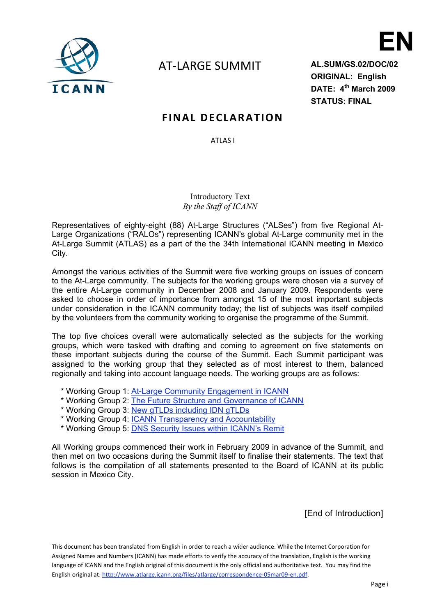

# AT‐LARGE SUMMIT

**AL.SUM/GS.02/DOC/02 ORIGINAL: English DATE: 4th March 2009 STATUS: FINAL**

**EN**

# **FINAL DECLARATION**

ATLAS I

Introductory Text *By the Staff of ICANN*

Representatives of eighty-eight (88) At-Large Structures ("ALSes") from five Regional At-Large Organizations ("RALOs") representing ICANN's global At-Large community met in the At-Large Summit (ATLAS) as a part of the the 34th International ICANN meeting in Mexico City.

Amongst the various activities of the Summit were five working groups on issues of concern to the At-Large community. The subjects for the working groups were chosen via a survey of the entire At-Large community in December 2008 and January 2009. Respondents were asked to choose in order of importance from amongst 15 of the most important subjects under consideration in the ICANN community today; the list of subjects was itself compiled by the volunteers from the community working to organise the programme of the Summit.

The top five choices overall were automatically selected as the subjects for the working groups, which were tasked with drafting and coming to agreement on five statements on these important subjects during the course of the Summit. Each Summit participant was assigned to the working group that they selected as of most interest to them, balanced regionally and taking into account language needs. The working groups are as follows:

- \* Working Group 1: At-Large Community Engagement in ICANN
- \* Working Group 2: The Future Structure and Governance of ICANN
- \* Working Group 3: New gTLDs including IDN gTLDs
- \* Working Group 4: ICANN Transparency and Accountability
- \* Working Group 5: DNS Security Issues within ICANN's Remit

All Working groups commenced their work in February 2009 in advance of the Summit, and then met on two occasions during the Summit itself to finalise their statements. The text that follows is the compilation of all statements presented to the Board of ICANN at its public session in Mexico City.

[End of Introduction]

This document has been translated from English in order to reach a wider audience. While the Internet Corporation for Assigned Names and Numbers (ICANN) has made efforts to verify the accuracy of the translation, English is the working language of ICANN and the English original of this document is the only official and authoritative text. You may find the English original at: http://www.atlarge.icann.org/files/atlarge/correspondence‐05mar09‐en.pdf.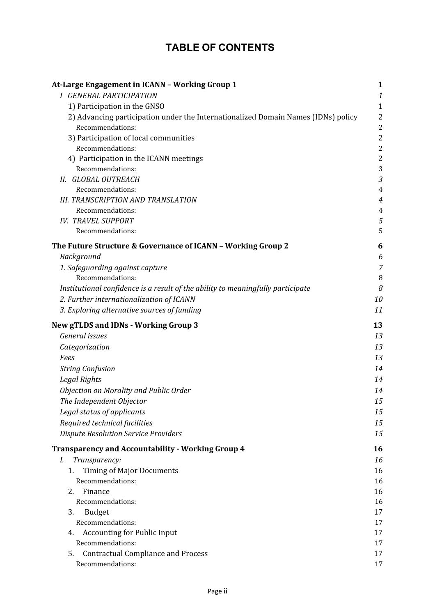# **TABLE OF CONTENTS**

| At-Large Engagement in ICANN - Working Group 1                                    | $\mathbf{1}$   |
|-----------------------------------------------------------------------------------|----------------|
| <b>I GENERAL PARTICIPATION</b>                                                    | $\it 1$        |
| 1) Participation in the GNSO                                                      | $\mathbf{1}$   |
| 2) Advancing participation under the Internationalized Domain Names (IDNs) policy | $\overline{2}$ |
| Recommendations:                                                                  | $\overline{c}$ |
| 3) Participation of local communities                                             | $\overline{2}$ |
| Recommendations:                                                                  | $\overline{c}$ |
| 4) Participation in the ICANN meetings                                            | $\overline{2}$ |
| Recommendations:                                                                  | 3              |
| II. GLOBAL OUTREACH                                                               | 3              |
| Recommendations:                                                                  | $\overline{4}$ |
| <b>III. TRANSCRIPTION AND TRANSLATION</b>                                         | $\overline{4}$ |
| Recommendations:                                                                  | 4              |
| <b>IV. TRAVEL SUPPORT</b>                                                         | 5              |
| Recommendations:                                                                  | 5              |
| The Future Structure & Governance of ICANN - Working Group 2                      | 6              |
| Background                                                                        | 6              |
| 1. Safeguarding against capture                                                   | 7              |
| Recommendations:                                                                  | 8              |
| Institutional confidence is a result of the ability to meaningfully participate   | 8              |
| 2. Further internationalization of ICANN                                          | 10             |
| 3. Exploring alternative sources of funding                                       | 11             |
| <b>New gTLDS and IDNs - Working Group 3</b>                                       | 13             |
| General issues                                                                    | 13             |
| Categorization                                                                    | 13             |
| Fees                                                                              | 13             |
| <b>String Confusion</b>                                                           | 14             |
| Legal Rights                                                                      | 14             |
| Objection on Morality and Public Order                                            | 14             |
| The Independent Objector                                                          | 15             |
| Legal status of applicants                                                        | 15             |
| Required technical facilities                                                     | 15             |
| <b>Dispute Resolution Service Providers</b>                                       | 15             |
| <b>Transparency and Accountability - Working Group 4</b>                          | 16             |
| Transparency:<br>I.                                                               | 16             |
| <b>Timing of Major Documents</b><br>1.                                            | 16             |
| Recommendations:                                                                  | 16             |
| Finance<br>2.                                                                     | 16             |
| Recommendations:                                                                  | 16             |
| 3.<br><b>Budget</b>                                                               | 17             |
| Recommendations:                                                                  | 17             |
| <b>Accounting for Public Input</b><br>4.                                          | 17             |
| Recommendations:                                                                  | 17             |
| <b>Contractual Compliance and Process</b><br>5.                                   | 17             |
| Recommendations:                                                                  | 17             |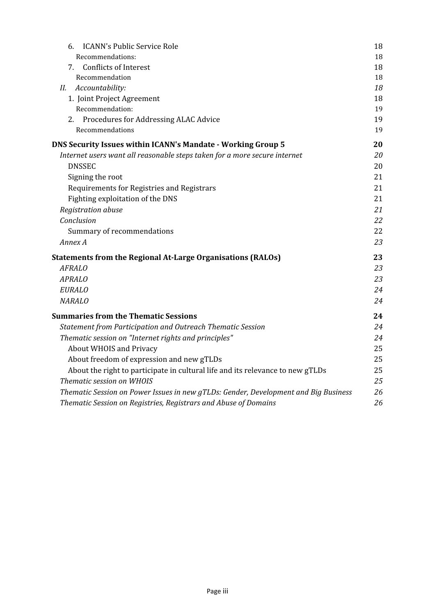| <b>ICANN's Public Service Role</b><br>6.                                            | 18 |
|-------------------------------------------------------------------------------------|----|
| Recommendations:                                                                    | 18 |
| 7. Conflicts of Interest                                                            | 18 |
| Recommendation                                                                      | 18 |
| Accountability:<br>Н.                                                               | 18 |
| 1. Joint Project Agreement                                                          | 18 |
| Recommendation:                                                                     | 19 |
| 2. Procedures for Addressing ALAC Advice                                            | 19 |
| Recommendations                                                                     | 19 |
| DNS Security Issues within ICANN's Mandate - Working Group 5                        | 20 |
| Internet users want all reasonable steps taken for a more secure internet           | 20 |
| <b>DNSSEC</b>                                                                       | 20 |
| Signing the root                                                                    | 21 |
| Requirements for Registries and Registrars                                          | 21 |
| Fighting exploitation of the DNS                                                    | 21 |
| Registration abuse                                                                  | 21 |
| Conclusion                                                                          | 22 |
| Summary of recommendations                                                          | 22 |
| Annex A                                                                             | 23 |
| <b>Statements from the Regional At-Large Organisations (RALOs)</b>                  | 23 |
| <b>AFRALO</b>                                                                       | 23 |
| <b>APRALO</b>                                                                       | 23 |
| <b>EURALO</b>                                                                       | 24 |
| <b>NARALO</b>                                                                       | 24 |
| <b>Summaries from the Thematic Sessions</b>                                         | 24 |
| Statement from Participation and Outreach Thematic Session                          | 24 |
| Thematic session on "Internet rights and principles"                                | 24 |
| <b>About WHOIS and Privacy</b>                                                      | 25 |
| About freedom of expression and new gTLDs                                           | 25 |
| About the right to participate in cultural life and its relevance to new gTLDs      | 25 |
| Thematic session on WHOIS                                                           | 25 |
| Thematic Session on Power Issues in new gTLDs: Gender, Development and Big Business | 26 |
| Thematic Session on Registries, Registrars and Abuse of Domains                     | 26 |
|                                                                                     |    |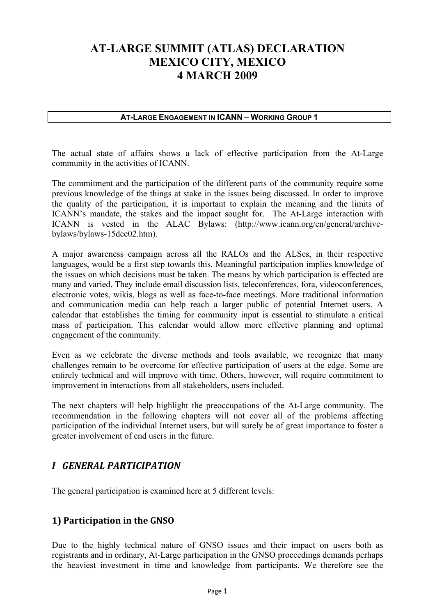# **AT-LARGE SUMMIT (ATLAS) DECLARATION MEXICO CITY, MEXICO 4 MARCH 2009**

#### **AT-LARGE ENGAGEMENT IN ICANN – WORKING GROUP 1**

The actual state of affairs shows a lack of effective participation from the At-Large community in the activities of ICANN.

The commitment and the participation of the different parts of the community require some previous knowledge of the things at stake in the issues being discussed. In order to improve the quality of the participation, it is important to explain the meaning and the limits of ICANN's mandate, the stakes and the impact sought for. The At-Large interaction with ICANN is vested in the ALAC Bylaws: (http://www.icann.org/en/general/archivebylaws/bylaws-15dec02.htm).

A major awareness campaign across all the RALOs and the ALSes, in their respective languages, would be a first step towards this. Meaningful participation implies knowledge of the issues on which decisions must be taken. The means by which participation is effected are many and varied. They include email discussion lists, teleconferences, fora, videoconferences, electronic votes, wikis, blogs as well as face-to-face meetings. More traditional information and communication media can help reach a larger public of potential Internet users. A calendar that establishes the timing for community input is essential to stimulate a critical mass of participation. This calendar would allow more effective planning and optimal engagement of the community.

Even as we celebrate the diverse methods and tools available, we recognize that many challenges remain to be overcome for effective participation of users at the edge. Some are entirely technical and will improve with time. Others, however, will require commitment to improvement in interactions from all stakeholders, users included.

The next chapters will help highlight the preoccupations of the At-Large community. The recommendation in the following chapters will not cover all of the problems affecting participation of the individual Internet users, but will surely be of great importance to foster a greater involvement of end users in the future.

## *I GENERAL PARTICIPATION*

The general participation is examined here at 5 different levels:

## **1) Participation in the GNSO**

Due to the highly technical nature of GNSO issues and their impact on users both as registrants and in ordinary, At-Large participation in the GNSO proceedings demands perhaps the heaviest investment in time and knowledge from participants. We therefore see the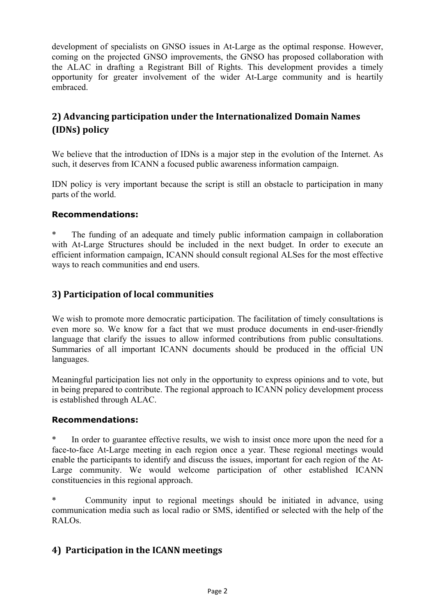development of specialists on GNSO issues in At-Large as the optimal response. However, coming on the projected GNSO improvements, the GNSO has proposed collaboration with the ALAC in drafting a Registrant Bill of Rights. This development provides a timely opportunity for greater involvement of the wider At-Large community and is heartily embraced.

# **2) Advancing participation under the Internationalized Domain Names (IDNs) policy**

We believe that the introduction of IDNs is a major step in the evolution of the Internet. As such, it deserves from ICANN a focused public awareness information campaign.

IDN policy is very important because the script is still an obstacle to participation in many parts of the world.

#### **Recommendations:**

The funding of an adequate and timely public information campaign in collaboration with At-Large Structures should be included in the next budget. In order to execute an efficient information campaign, ICANN should consult regional ALSes for the most effective ways to reach communities and end users.

### **3) Participation of local communities**

We wish to promote more democratic participation. The facilitation of timely consultations is even more so. We know for a fact that we must produce documents in end-user-friendly language that clarify the issues to allow informed contributions from public consultations. Summaries of all important ICANN documents should be produced in the official UN languages.

Meaningful participation lies not only in the opportunity to express opinions and to vote, but in being prepared to contribute. The regional approach to ICANN policy development process is established through ALAC.

#### **Recommendations:**

In order to guarantee effective results, we wish to insist once more upon the need for a face-to-face At-Large meeting in each region once a year. These regional meetings would enable the participants to identify and discuss the issues, important for each region of the At-Large community. We would welcome participation of other established ICANN constituencies in this regional approach.

\* Community input to regional meetings should be initiated in advance, using communication media such as local radio or SMS, identified or selected with the help of the RALOs.

### **4) Participation in the ICANN meetings**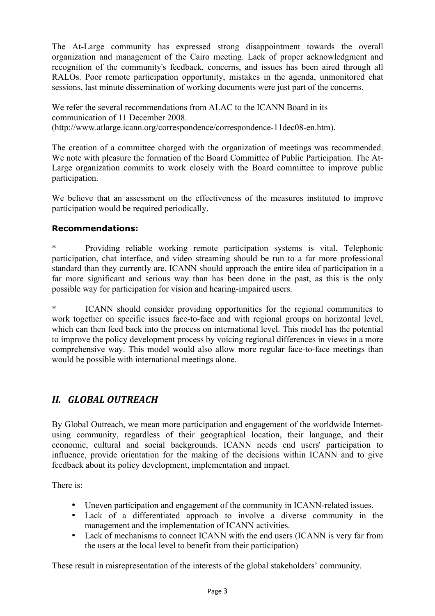The At-Large community has expressed strong disappointment towards the overall organization and management of the Cairo meeting. Lack of proper acknowledgment and recognition of the community's feedback, concerns, and issues has been aired through all RALOs. Poor remote participation opportunity, mistakes in the agenda, unmonitored chat sessions, last minute dissemination of working documents were just part of the concerns.

We refer the several recommendations from ALAC to the ICANN Board in its communication of 11 December 2008. (http://www.atlarge.icann.org/correspondence/correspondence-11dec08-en.htm).

The creation of a committee charged with the organization of meetings was recommended. We note with pleasure the formation of the Board Committee of Public Participation. The At-Large organization commits to work closely with the Board committee to improve public participation.

We believe that an assessment on the effectiveness of the measures instituted to improve participation would be required periodically.

#### **Recommendations:**

\* Providing reliable working remote participation systems is vital. Telephonic participation, chat interface, and video streaming should be run to a far more professional standard than they currently are. ICANN should approach the entire idea of participation in a far more significant and serious way than has been done in the past, as this is the only possible way for participation for vision and hearing-impaired users.

ICANN should consider providing opportunities for the regional communities to work together on specific issues face-to-face and with regional groups on horizontal level, which can then feed back into the process on international level. This model has the potential to improve the policy development process by voicing regional differences in views in a more comprehensive way. This model would also allow more regular face-to-face meetings than would be possible with international meetings alone.

## *II. GLOBAL OUTREACH*

By Global Outreach, we mean more participation and engagement of the worldwide Internetusing community, regardless of their geographical location, their language, and their economic, cultural and social backgrounds. ICANN needs end users' participation to influence, provide orientation for the making of the decisions within ICANN and to give feedback about its policy development, implementation and impact.

There is:

- Uneven participation and engagement of the community in ICANN-related issues.
- Lack of a differentiated approach to involve a diverse community in the management and the implementation of ICANN activities.
- Lack of mechanisms to connect ICANN with the end users (ICANN is very far from the users at the local level to benefit from their participation)

These result in misrepresentation of the interests of the global stakeholders' community.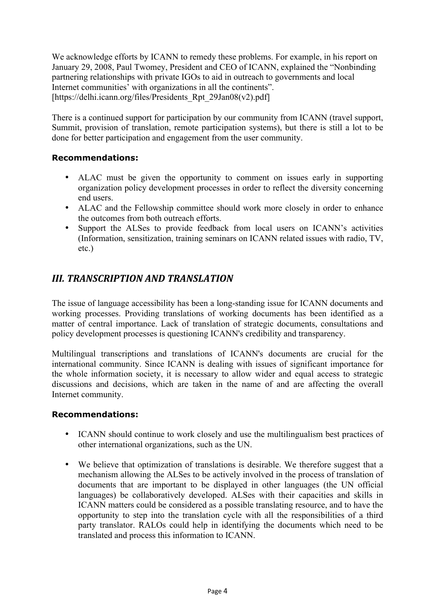We acknowledge efforts by ICANN to remedy these problems. For example, in his report on January 29, 2008, Paul Twomey, President and CEO of ICANN, explained the "Nonbinding partnering relationships with private IGOs to aid in outreach to governments and local Internet communities' with organizations in all the continents". [https://delhi.icann.org/files/Presidents Rpt 29Jan08(v2).pdf]

There is a continued support for participation by our community from ICANN (travel support, Summit, provision of translation, remote participation systems), but there is still a lot to be done for better participation and engagement from the user community.

#### **Recommendations:**

- ALAC must be given the opportunity to comment on issues early in supporting organization policy development processes in order to reflect the diversity concerning end users.
- ALAC and the Fellowship committee should work more closely in order to enhance the outcomes from both outreach efforts.
- Support the ALSes to provide feedback from local users on ICANN's activities (Information, sensitization, training seminars on ICANN related issues with radio, TV, etc.)

# *III. TRANSCRIPTION AND TRANSLATION*

The issue of language accessibility has been a long-standing issue for ICANN documents and working processes. Providing translations of working documents has been identified as a matter of central importance. Lack of translation of strategic documents, consultations and policy development processes is questioning ICANN's credibility and transparency.

Multilingual transcriptions and translations of ICANN's documents are crucial for the international community. Since ICANN is dealing with issues of significant importance for the whole information society, it is necessary to allow wider and equal access to strategic discussions and decisions, which are taken in the name of and are affecting the overall Internet community.

#### **Recommendations:**

- ICANN should continue to work closely and use the multilingualism best practices of other international organizations, such as the UN.
- We believe that optimization of translations is desirable. We therefore suggest that a mechanism allowing the ALSes to be actively involved in the process of translation of documents that are important to be displayed in other languages (the UN official languages) be collaboratively developed. ALSes with their capacities and skills in ICANN matters could be considered as a possible translating resource, and to have the opportunity to step into the translation cycle with all the responsibilities of a third party translator. RALOs could help in identifying the documents which need to be translated and process this information to ICANN.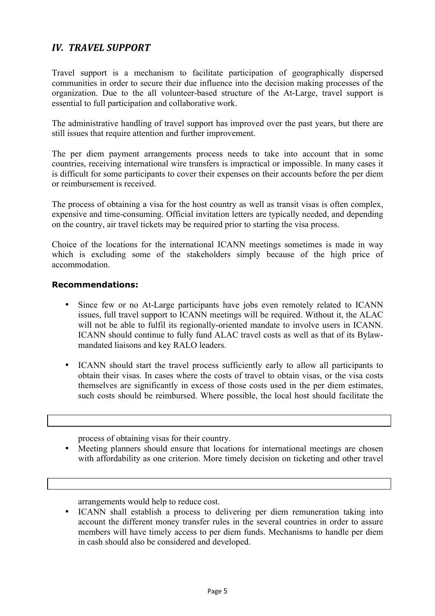# *IV. TRAVEL SUPPORT*

Travel support is a mechanism to facilitate participation of geographically dispersed communities in order to secure their due influence into the decision making processes of the organization. Due to the all volunteer-based structure of the At-Large, travel support is essential to full participation and collaborative work.

The administrative handling of travel support has improved over the past years, but there are still issues that require attention and further improvement.

The per diem payment arrangements process needs to take into account that in some countries, receiving international wire transfers is impractical or impossible. In many cases it is difficult for some participants to cover their expenses on their accounts before the per diem or reimbursement is received.

The process of obtaining a visa for the host country as well as transit visas is often complex, expensive and time-consuming. Official invitation letters are typically needed, and depending on the country, air travel tickets may be required prior to starting the visa process.

Choice of the locations for the international ICANN meetings sometimes is made in way which is excluding some of the stakeholders simply because of the high price of accommodation.

#### **Recommendations:**

- Since few or no At-Large participants have jobs even remotely related to ICANN issues, full travel support to ICANN meetings will be required. Without it, the ALAC will not be able to fulfil its regionally-oriented mandate to involve users in ICANN. ICANN should continue to fully fund ALAC travel costs as well as that of its Bylawmandated liaisons and key RALO leaders.
- ICANN should start the travel process sufficiently early to allow all participants to obtain their visas. In cases where the costs of travel to obtain visas, or the visa costs themselves are significantly in excess of those costs used in the per diem estimates, such costs should be reimbursed. Where possible, the local host should facilitate the

process of obtaining visas for their country.

• Meeting planners should ensure that locations for international meetings are chosen with affordability as one criterion. More timely decision on ticketing and other travel

arrangements would help to reduce cost.

• ICANN shall establish a process to delivering per diem remuneration taking into account the different money transfer rules in the several countries in order to assure members will have timely access to per diem funds. Mechanisms to handle per diem in cash should also be considered and developed.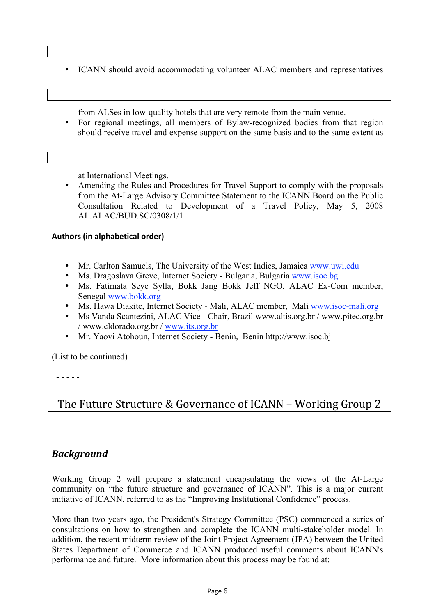• ICANN should avoid accommodating volunteer ALAC members and representatives

from ALSes in low-quality hotels that are very remote from the main venue.

• For regional meetings, all members of Bylaw-recognized bodies from that region should receive travel and expense support on the same basis and to the same extent as

at International Meetings.

• Amending the Rules and Procedures for Travel Support to comply with the proposals from the At-Large Advisory Committee Statement to the ICANN Board on the Public Consultation Related to Development of a Travel Policy, May 5, 2008 AL.ALAC/BUD.SC/0308/1/1

#### **Authors (in alphabetical order)**

- Mr. Carlton Samuels, The University of the West Indies, Jamaica www.uwi.edu
- Ms. Dragoslava Greve, Internet Society Bulgaria, Bulgaria www.isoc.bg
- Ms. Fatimata Seye Sylla, Bokk Jang Bokk Jeff NGO, ALAC Ex-Com member, Senegal www.bokk.org
- Ms. Hawa Diakite, Internet Society Mali, ALAC member, Mali www.isoc-mali.org
- Ms Vanda Scantezini, ALAC Vice Chair, Brazil www.altis.org.br / www.pitec.org.br / www.eldorado.org.br / www.its.org.br
- Mr. Yaovi Atohoun, Internet Society Benin, Benin http://www.isoc.bj

(List to be continued)

- - - - -

# The Future Structure & Governance of ICANN – Working Group 2

### *Background*

Working Group 2 will prepare a statement encapsulating the views of the At-Large community on "the future structure and governance of ICANN". This is a major current initiative of ICANN, referred to as the "Improving Institutional Confidence" process.

More than two years ago, the President's Strategy Committee (PSC) commenced a series of consultations on how to strengthen and complete the ICANN multi-stakeholder model. In addition, the recent midterm review of the Joint Project Agreement (JPA) between the United States Department of Commerce and ICANN produced useful comments about ICANN's performance and future. More information about this process may be found at: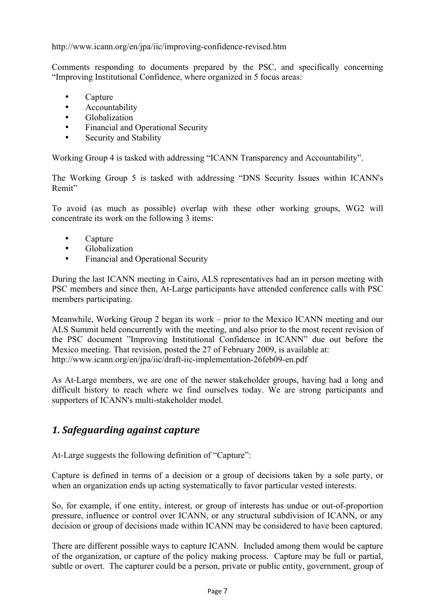http://www.icann.org/en/jpa/iic/improving-confidence-revised.htm

Comments responding to documents prepared by the PSC, and specifically concerning "Improving Institutional Confidence, where organized in 5 focus areas:

- Capture
- Accountability<br>• Globalization
- Globalization
- Financial and Operational Security
- Security and Stability

Working Group 4 is tasked with addressing "ICANN Transparency and Accountability".

The Working Group 5 is tasked with addressing "DNS Security Issues within ICANN's Remit"

To avoid (as much as possible) overlap with these other working groups, WG2 will concentrate its work on the following 3 items:

- Capture
- Globalization
- Financial and Operational Security

During the last ICANN meeting in Cairo, ALS representatives had an in person meeting with PSC members and since then, At-Large participants have attended conference calls with PSC members participating.

Meanwhile, Working Group 2 began its work – prior to the Mexico ICANN meeting and our ALS Summit held concurrently with the meeting, and also prior to the most recent revision of the PSC document "Improving Institutional Confidence in ICANN" due out before the Mexico meeting. That revision, posted the 27 of February 2009, is available at: http://www.icann.org/en/jpa/iic/draft-iic-implementation-26feb09-en.pdf

As At-Large members, we are one of the newer stakeholder groups, having had a long and difficult history to reach where we find ourselves today. We are strong participants and supporters of ICANN's multi-stakeholder model.

## *1. Safeguarding against capture*

At-Large suggests the following definition of "Capture":

Capture is defined in terms of a decision or a group of decisions taken by a sole party, or when an organization ends up acting systematically to favor particular vested interests.

So, for example, if one entity, interest, or group of interests has undue or out-of-proportion pressure, influence or control over ICANN, or any structural subdivision of ICANN, or any decision or group of decisions made within ICANN may be considered to have been captured.

There are different possible ways to capture ICANN. Included among them would be capture of the organization, or capture of the policy making process. Capture may be full or partial, subtle or overt. The capturer could be a person, private or public entity, government, group of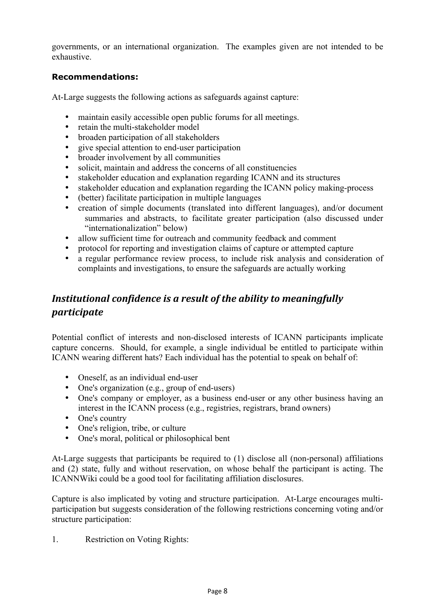governments, or an international organization. The examples given are not intended to be exhaustive.

#### **Recommendations:**

At-Large suggests the following actions as safeguards against capture:

- maintain easily accessible open public forums for all meetings.
- retain the multi-stakeholder model
- broaden participation of all stakeholders
- give special attention to end-user participation
- broader involvement by all communities
- solicit, maintain and address the concerns of all constituencies
- stakeholder education and explanation regarding ICANN and its structures<br>• stakeholder education and explanation regarding the ICANN policy making
- stakeholder education and explanation regarding the ICANN policy making-process
- (better) facilitate participation in multiple languages
- creation of simple documents (translated into different languages), and/or document summaries and abstracts, to facilitate greater participation (also discussed under "internationalization" below)
- allow sufficient time for outreach and community feedback and comment
- protocol for reporting and investigation claims of capture or attempted capture
- a regular performance review process, to include risk analysis and consideration of complaints and investigations, to ensure the safeguards are actually working

# *Institutional confidence is a result of the ability to meaningfully participate*

Potential conflict of interests and non-disclosed interests of ICANN participants implicate capture concerns. Should, for example, a single individual be entitled to participate within ICANN wearing different hats? Each individual has the potential to speak on behalf of:

- Oneself, as an individual end-user
- One's organization (e.g., group of end-users)
- One's company or employer, as a business end-user or any other business having an interest in the ICANN process (e.g., registries, registrars, brand owners)
- One's country
- One's religion, tribe, or culture
- One's moral, political or philosophical bent

At-Large suggests that participants be required to (1) disclose all (non-personal) affiliations and (2) state, fully and without reservation, on whose behalf the participant is acting. The ICANNWiki could be a good tool for facilitating affiliation disclosures.

Capture is also implicated by voting and structure participation. At-Large encourages multiparticipation but suggests consideration of the following restrictions concerning voting and/or structure participation:

1. Restriction on Voting Rights: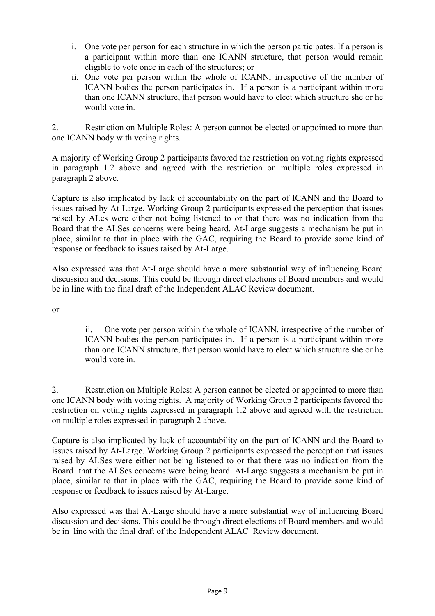- i. One vote per person for each structure in which the person participates. If a person is a participant within more than one ICANN structure, that person would remain eligible to vote once in each of the structures; or
- ii. One vote per person within the whole of ICANN, irrespective of the number of ICANN bodies the person participates in. If a person is a participant within more than one ICANN structure, that person would have to elect which structure she or he would vote in.

2. Restriction on Multiple Roles: A person cannot be elected or appointed to more than one ICANN body with voting rights.

A majority of Working Group 2 participants favored the restriction on voting rights expressed in paragraph 1.2 above and agreed with the restriction on multiple roles expressed in paragraph 2 above.

Capture is also implicated by lack of accountability on the part of ICANN and the Board to issues raised by At-Large. Working Group 2 participants expressed the perception that issues raised by ALes were either not being listened to or that there was no indication from the Board that the ALSes concerns were being heard. At-Large suggests a mechanism be put in place, similar to that in place with the GAC, requiring the Board to provide some kind of response or feedback to issues raised by At-Large.

Also expressed was that At-Large should have a more substantial way of influencing Board discussion and decisions. This could be through direct elections of Board members and would be in line with the final draft of the Independent ALAC Review document.

or

ii. One vote per person within the whole of ICANN, irrespective of the number of ICANN bodies the person participates in. If a person is a participant within more than one ICANN structure, that person would have to elect which structure she or he would vote in.

2. Restriction on Multiple Roles: A person cannot be elected or appointed to more than one ICANN body with voting rights. A majority of Working Group 2 participants favored the restriction on voting rights expressed in paragraph 1.2 above and agreed with the restriction on multiple roles expressed in paragraph 2 above.

Capture is also implicated by lack of accountability on the part of ICANN and the Board to issues raised by At-Large. Working Group 2 participants expressed the perception that issues raised by ALSes were either not being listened to or that there was no indication from the Board that the ALSes concerns were being heard. At-Large suggests a mechanism be put in place, similar to that in place with the GAC, requiring the Board to provide some kind of response or feedback to issues raised by At-Large.

Also expressed was that At-Large should have a more substantial way of influencing Board discussion and decisions. This could be through direct elections of Board members and would be in line with the final draft of the Independent ALAC Review document.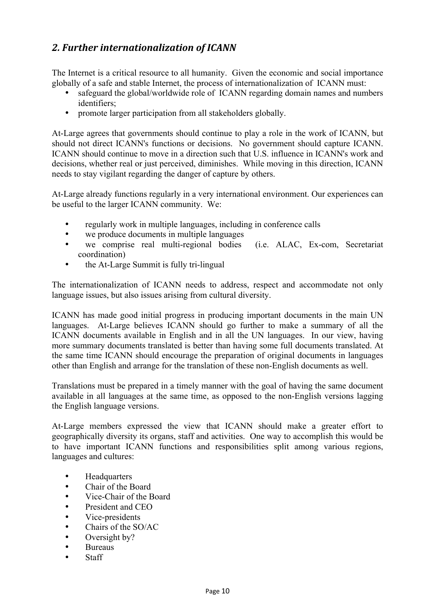# *2. Further internationalization of ICANN*

The Internet is a critical resource to all humanity. Given the economic and social importance globally of a safe and stable Internet, the process of internationalization of ICANN must:

- safeguard the global/worldwide role of ICANN regarding domain names and numbers identifiers;
- promote larger participation from all stakeholders globally.

At-Large agrees that governments should continue to play a role in the work of ICANN, but should not direct ICANN's functions or decisions. No government should capture ICANN. ICANN should continue to move in a direction such that U.S. influence in ICANN's work and decisions, whether real or just perceived, diminishes. While moving in this direction, ICANN needs to stay vigilant regarding the danger of capture by others.

At-Large already functions regularly in a very international environment. Our experiences can be useful to the larger ICANN community. We:

- regularly work in multiple languages, including in conference calls
- we produce documents in multiple languages<br>• we comprise real multi-regional bodies
- we comprise real multi-regional bodies (i.e. ALAC, Ex-com, Secretariat coordination)
- the At-Large Summit is fully tri-lingual

The internationalization of ICANN needs to address, respect and accommodate not only language issues, but also issues arising from cultural diversity.

ICANN has made good initial progress in producing important documents in the main UN languages. At-Large believes ICANN should go further to make a summary of all the ICANN documents available in English and in all the UN languages. In our view, having more summary documents translated is better than having some full documents translated. At the same time ICANN should encourage the preparation of original documents in languages other than English and arrange for the translation of these non-English documents as well.

Translations must be prepared in a timely manner with the goal of having the same document available in all languages at the same time, as opposed to the non-English versions lagging the English language versions.

At-Large members expressed the view that ICANN should make a greater effort to geographically diversity its organs, staff and activities. One way to accomplish this would be to have important ICANN functions and responsibilities split among various regions, languages and cultures:

- Headquarters
- Chair of the Board
- Vice-Chair of the Board
- President and CEO
- Vice-presidents
- Chairs of the SO/AC
- Oversight by?
- Bureaus
- Staff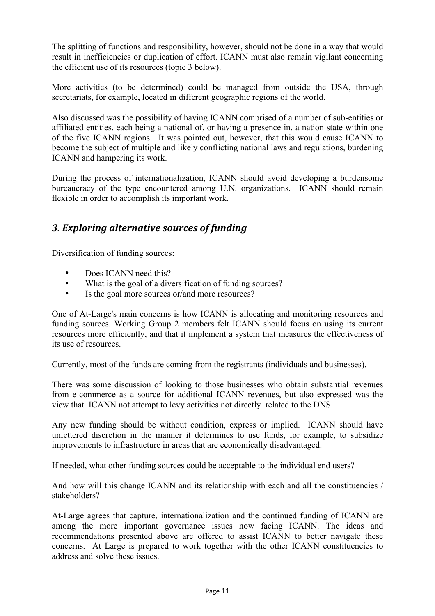The splitting of functions and responsibility, however, should not be done in a way that would result in inefficiencies or duplication of effort. ICANN must also remain vigilant concerning the efficient use of its resources (topic 3 below).

More activities (to be determined) could be managed from outside the USA, through secretariats, for example, located in different geographic regions of the world.

Also discussed was the possibility of having ICANN comprised of a number of sub-entities or affiliated entities, each being a national of, or having a presence in, a nation state within one of the five ICANN regions. It was pointed out, however, that this would cause ICANN to become the subject of multiple and likely conflicting national laws and regulations, burdening ICANN and hampering its work.

During the process of internationalization, ICANN should avoid developing a burdensome bureaucracy of the type encountered among U.N. organizations. ICANN should remain flexible in order to accomplish its important work.

# *3. Exploring alternative sources of funding*

Diversification of funding sources:

- Does ICANN need this?
- What is the goal of a diversification of funding sources?
- Is the goal more sources or/and more resources?

One of At-Large's main concerns is how ICANN is allocating and monitoring resources and funding sources. Working Group 2 members felt ICANN should focus on using its current resources more efficiently, and that it implement a system that measures the effectiveness of its use of resources.

Currently, most of the funds are coming from the registrants (individuals and businesses).

There was some discussion of looking to those businesses who obtain substantial revenues from e-commerce as a source for additional ICANN revenues, but also expressed was the view that ICANN not attempt to levy activities not directly related to the DNS.

Any new funding should be without condition, express or implied. ICANN should have unfettered discretion in the manner it determines to use funds, for example, to subsidize improvements to infrastructure in areas that are economically disadvantaged.

If needed, what other funding sources could be acceptable to the individual end users?

And how will this change ICANN and its relationship with each and all the constituencies / stakeholders?

At-Large agrees that capture, internationalization and the continued funding of ICANN are among the more important governance issues now facing ICANN. The ideas and recommendations presented above are offered to assist ICANN to better navigate these concerns. At Large is prepared to work together with the other ICANN constituencies to address and solve these issues.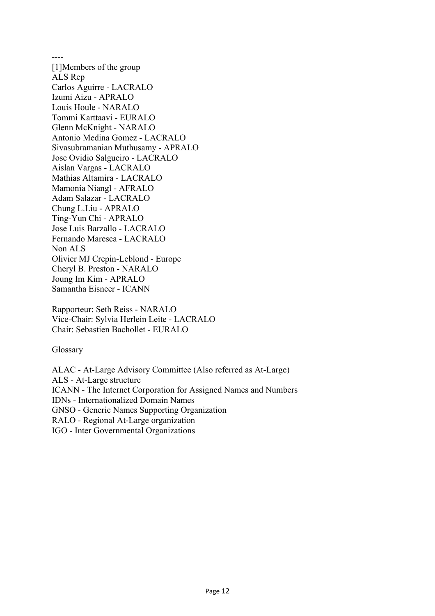---- [1]Members of the group ALS Rep Carlos Aguirre - LACRALO Izumi Aizu - APRALO Louis Houle - NARALO Tommi Karttaavi - EURALO Glenn McKnight - NARALO Antonio Medina Gomez - LACRALO Sivasubramanian Muthusamy - APRALO Jose Ovidio Salgueiro - LACRALO Aislan Vargas - LACRALO Mathias Altamira - LACRALO Mamonia Niangl - AFRALO Adam Salazar - LACRALO Chung L.Liu - APRALO Ting-Yun Chi - APRALO Jose Luis Barzallo - LACRALO Fernando Maresca - LACRALO Non ALS Olivier MJ Crepin-Leblond - Europe Cheryl B. Preston - NARALO Joung Im Kim - APRALO Samantha Eisneer - ICANN

Rapporteur: Seth Reiss - NARALO Vice-Chair: Sylvia Herlein Leite - LACRALO Chair: Sebastien Bachollet - EURALO

**Glossary** 

ALAC - At-Large Advisory Committee (Also referred as At-Large) ALS - At-Large structure ICANN - The Internet Corporation for Assigned Names and Numbers IDNs - Internationalized Domain Names GNSO - Generic Names Supporting Organization RALO - Regional At-Large organization IGO - Inter Governmental Organizations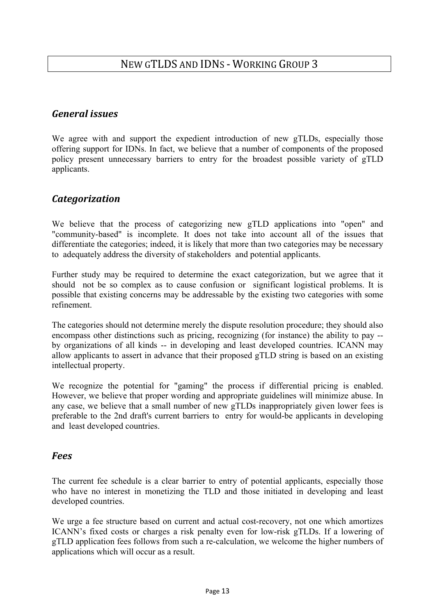## *General issues*

We agree with and support the expedient introduction of new gTLDs, especially those offering support for IDNs. In fact, we believe that a number of components of the proposed policy present unnecessary barriers to entry for the broadest possible variety of gTLD applicants.

# *Categorization*

We believe that the process of categorizing new gTLD applications into "open" and "community-based" is incomplete. It does not take into account all of the issues that differentiate the categories; indeed, it is likely that more than two categories may be necessary to adequately address the diversity of stakeholders and potential applicants.

Further study may be required to determine the exact categorization, but we agree that it should not be so complex as to cause confusion or significant logistical problems. It is possible that existing concerns may be addressable by the existing two categories with some refinement.

The categories should not determine merely the dispute resolution procedure; they should also encompass other distinctions such as pricing, recognizing (for instance) the ability to pay - by organizations of all kinds -- in developing and least developed countries. ICANN may allow applicants to assert in advance that their proposed gTLD string is based on an existing intellectual property.

We recognize the potential for "gaming" the process if differential pricing is enabled. However, we believe that proper wording and appropriate guidelines will minimize abuse. In any case, we believe that a small number of new gTLDs inappropriately given lower fees is preferable to the 2nd draft's current barriers to entry for would-be applicants in developing and least developed countries.

### *Fees*

The current fee schedule is a clear barrier to entry of potential applicants, especially those who have no interest in monetizing the TLD and those initiated in developing and least developed countries.

We urge a fee structure based on current and actual cost-recovery, not one which amortizes ICANN's fixed costs or charges a risk penalty even for low-risk gTLDs. If a lowering of gTLD application fees follows from such a re-calculation, we welcome the higher numbers of applications which will occur as a result.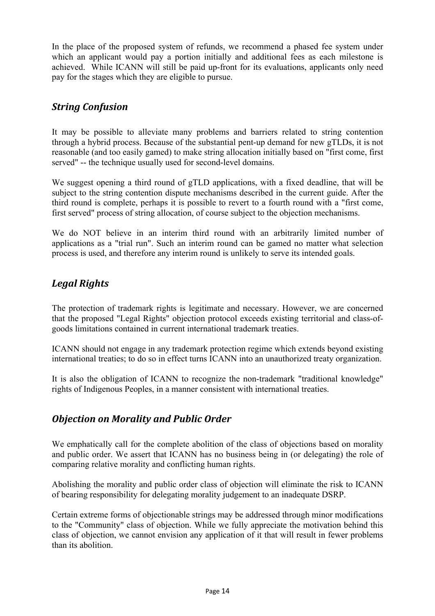In the place of the proposed system of refunds, we recommend a phased fee system under which an applicant would pay a portion initially and additional fees as each milestone is achieved. While ICANN will still be paid up-front for its evaluations, applicants only need pay for the stages which they are eligible to pursue.

# *String Confusion*

It may be possible to alleviate many problems and barriers related to string contention through a hybrid process. Because of the substantial pent-up demand for new gTLDs, it is not reasonable (and too easily gamed) to make string allocation initially based on "first come, first served" -- the technique usually used for second-level domains.

We suggest opening a third round of gTLD applications, with a fixed deadline, that will be subject to the string contention dispute mechanisms described in the current guide. After the third round is complete, perhaps it is possible to revert to a fourth round with a "first come, first served" process of string allocation, of course subject to the objection mechanisms.

We do NOT believe in an interim third round with an arbitrarily limited number of applications as a "trial run". Such an interim round can be gamed no matter what selection process is used, and therefore any interim round is unlikely to serve its intended goals.

# *Legal Rights*

The protection of trademark rights is legitimate and necessary. However, we are concerned that the proposed "Legal Rights" objection protocol exceeds existing territorial and class-ofgoods limitations contained in current international trademark treaties.

ICANN should not engage in any trademark protection regime which extends beyond existing international treaties; to do so in effect turns ICANN into an unauthorized treaty organization.

It is also the obligation of ICANN to recognize the non-trademark "traditional knowledge" rights of Indigenous Peoples, in a manner consistent with international treaties.

## *Objection on Morality and Public Order*

We emphatically call for the complete abolition of the class of objections based on morality and public order. We assert that ICANN has no business being in (or delegating) the role of comparing relative morality and conflicting human rights.

Abolishing the morality and public order class of objection will eliminate the risk to ICANN of bearing responsibility for delegating morality judgement to an inadequate DSRP.

Certain extreme forms of objectionable strings may be addressed through minor modifications to the "Community" class of objection. While we fully appreciate the motivation behind this class of objection, we cannot envision any application of it that will result in fewer problems than its abolition.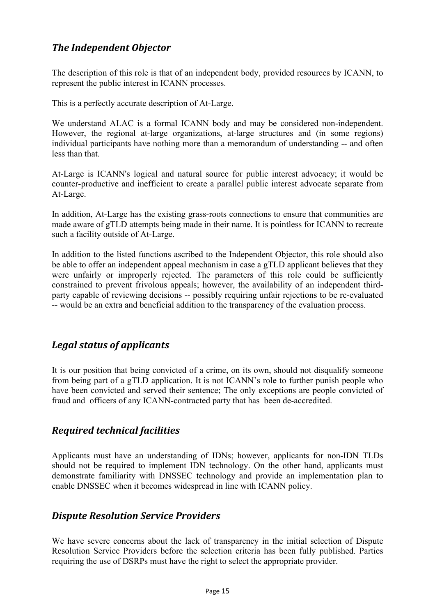# *The Independent Objector*

The description of this role is that of an independent body, provided resources by ICANN, to represent the public interest in ICANN processes.

This is a perfectly accurate description of At-Large.

We understand ALAC is a formal ICANN body and may be considered non-independent. However, the regional at-large organizations, at-large structures and (in some regions) individual participants have nothing more than a memorandum of understanding -- and often less than that.

At-Large is ICANN's logical and natural source for public interest advocacy; it would be counter-productive and inefficient to create a parallel public interest advocate separate from At-Large.

In addition, At-Large has the existing grass-roots connections to ensure that communities are made aware of gTLD attempts being made in their name. It is pointless for ICANN to recreate such a facility outside of At-Large.

In addition to the listed functions ascribed to the Independent Objector, this role should also be able to offer an independent appeal mechanism in case a gTLD applicant believes that they were unfairly or improperly rejected. The parameters of this role could be sufficiently constrained to prevent frivolous appeals; however, the availability of an independent thirdparty capable of reviewing decisions -- possibly requiring unfair rejections to be re-evaluated -- would be an extra and beneficial addition to the transparency of the evaluation process.

## *Legal status of applicants*

It is our position that being convicted of a crime, on its own, should not disqualify someone from being part of a gTLD application. It is not ICANN's role to further punish people who have been convicted and served their sentence; The only exceptions are people convicted of fraud and officers of any ICANN-contracted party that has been de-accredited.

## *Required technical facilities*

Applicants must have an understanding of IDNs; however, applicants for non-IDN TLDs should not be required to implement IDN technology. On the other hand, applicants must demonstrate familiarity with DNSSEC technology and provide an implementation plan to enable DNSSEC when it becomes widespread in line with ICANN policy.

## *Dispute Resolution Service Providers*

We have severe concerns about the lack of transparency in the initial selection of Dispute Resolution Service Providers before the selection criteria has been fully published. Parties requiring the use of DSRPs must have the right to select the appropriate provider.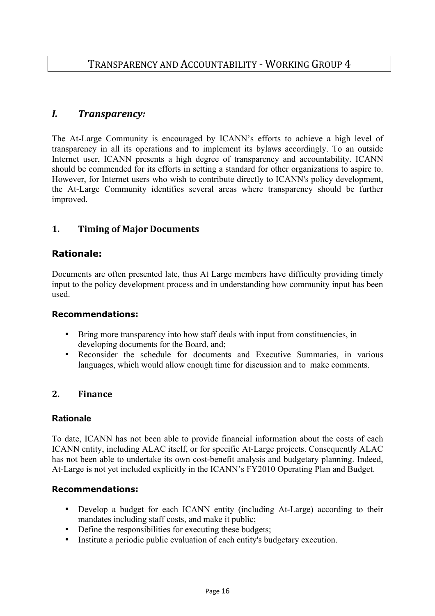# TRANSPARENCY AND ACCOUNTABILITY ‐ WORKING GROUP 4

## *I. Transparency:*

The At-Large Community is encouraged by ICANN's efforts to achieve a high level of transparency in all its operations and to implement its bylaws accordingly. To an outside Internet user, ICANN presents a high degree of transparency and accountability. ICANN should be commended for its efforts in setting a standard for other organizations to aspire to. However, for Internet users who wish to contribute directly to ICANN's policy development, the At-Large Community identifies several areas where transparency should be further improved.

### **1. Timing of Major Documents**

#### **Rationale:**

Documents are often presented late, thus At Large members have difficulty providing timely input to the policy development process and in understanding how community input has been used.

#### **Recommendations:**

- Bring more transparency into how staff deals with input from constituencies, in developing documents for the Board, and;
- Reconsider the schedule for documents and Executive Summaries, in various languages, which would allow enough time for discussion and to make comments.

#### **2. Finance**

#### **Rationale**

To date, ICANN has not been able to provide financial information about the costs of each ICANN entity, including ALAC itself, or for specific At-Large projects. Consequently ALAC has not been able to undertake its own cost-benefit analysis and budgetary planning. Indeed, At-Large is not yet included explicitly in the ICANN's FY2010 Operating Plan and Budget.

#### **Recommendations:**

- Develop a budget for each ICANN entity (including At-Large) according to their mandates including staff costs, and make it public;
- Define the responsibilities for executing these budgets;
- Institute a periodic public evaluation of each entity's budgetary execution.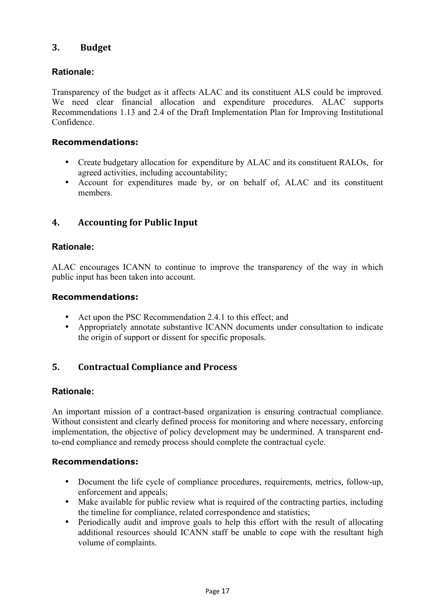### **3. Budget**

## **Rationale:**

Transparency of the budget as it affects ALAC and its constituent ALS could be improved. We need clear financial allocation and expenditure procedures. ALAC supports Recommendations 1.13 and 2.4 of the Draft Implementation Plan for Improving Institutional Confidence.

#### **Recommendations:**

- Create budgetary allocation for expenditure by ALAC and its constituent RALOs, for agreed activities, including accountability;
- Account for expenditures made by, or on behalf of, ALAC and its constituent members.

## **4. Accounting for Public Input**

### **Rationale:**

ALAC encourages ICANN to continue to improve the transparency of the way in which public input has been taken into account.

#### **Recommendations:**

- Act upon the PSC Recommendation 2.4.1 to this effect; and
- Appropriately annotate substantive ICANN documents under consultation to indicate the origin of support or dissent for specific proposals.

## **5. Contractual Compliance and Process**

### **Rationale:**

An important mission of a contract-based organization is ensuring contractual compliance. Without consistent and clearly defined process for monitoring and where necessary, enforcing implementation, the objective of policy development may be undermined. A transparent endto-end compliance and remedy process should complete the contractual cycle.

#### **Recommendations:**

- Document the life cycle of compliance procedures, requirements, metrics, follow-up, enforcement and appeals;
- Make available for public review what is required of the contracting parties, including the timeline for compliance, related correspondence and statistics;
- Periodically audit and improve goals to help this effort with the result of allocating additional resources should ICANN staff be unable to cope with the resultant high volume of complaints.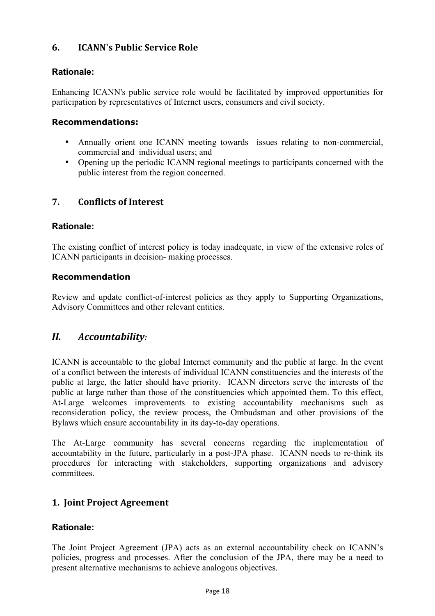## **6. ICANN's Public Service Role**

### **Rationale:**

Enhancing ICANN's public service role would be facilitated by improved opportunities for participation by representatives of Internet users, consumers and civil society.

### **Recommendations:**

- Annually orient one ICANN meeting towards issues relating to non-commercial, commercial and individual users; and
- Opening up the periodic ICANN regional meetings to participants concerned with the public interest from the region concerned.

## **7. Conflicts of Interest**

### **Rationale:**

The existing conflict of interest policy is today inadequate, in view of the extensive roles of ICANN participants in decision- making processes.

#### **Recommendation**

Review and update conflict-of-interest policies as they apply to Supporting Organizations, Advisory Committees and other relevant entities.

## *II. Accountability:*

ICANN is accountable to the global Internet community and the public at large. In the event of a conflict between the interests of individual ICANN constituencies and the interests of the public at large, the latter should have priority. ICANN directors serve the interests of the public at large rather than those of the constituencies which appointed them. To this effect, At-Large welcomes improvements to existing accountability mechanisms such as reconsideration policy, the review process, the Ombudsman and other provisions of the Bylaws which ensure accountability in its day-to-day operations.

The At-Large community has several concerns regarding the implementation of accountability in the future, particularly in a post-JPA phase. ICANN needs to re-think its procedures for interacting with stakeholders, supporting organizations and advisory committees.

## **1. Joint Project Agreement**

### **Rationale:**

The Joint Project Agreement (JPA) acts as an external accountability check on ICANN's policies, progress and processes. After the conclusion of the JPA, there may be a need to present alternative mechanisms to achieve analogous objectives.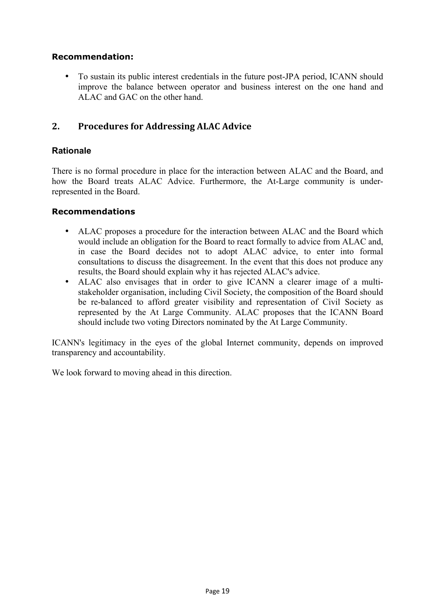#### **Recommendation:**

• To sustain its public interest credentials in the future post-JPA period, ICANN should improve the balance between operator and business interest on the one hand and ALAC and GAC on the other hand.

### **2. Procedures for Addressing ALAC Advice**

#### **Rationale**

There is no formal procedure in place for the interaction between ALAC and the Board, and how the Board treats ALAC Advice. Furthermore, the At-Large community is underrepresented in the Board.

#### **Recommendations**

- ALAC proposes a procedure for the interaction between ALAC and the Board which would include an obligation for the Board to react formally to advice from ALAC and, in case the Board decides not to adopt ALAC advice, to enter into formal consultations to discuss the disagreement. In the event that this does not produce any results, the Board should explain why it has rejected ALAC's advice.
- ALAC also envisages that in order to give ICANN a clearer image of a multistakeholder organisation, including Civil Society, the composition of the Board should be re-balanced to afford greater visibility and representation of Civil Society as represented by the At Large Community. ALAC proposes that the ICANN Board should include two voting Directors nominated by the At Large Community.

ICANN's legitimacy in the eyes of the global Internet community, depends on improved transparency and accountability.

We look forward to moving ahead in this direction.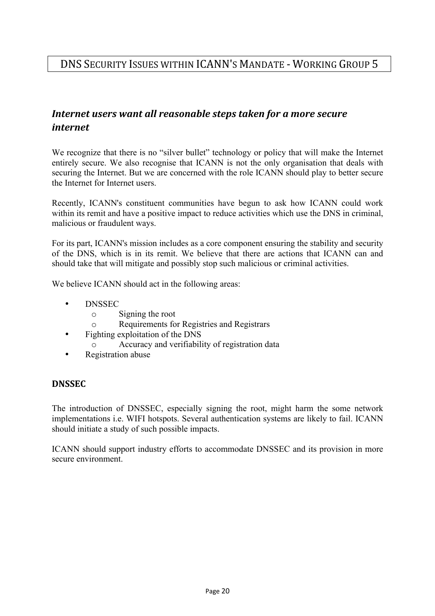# *Internet users want all reasonable steps taken for a more secure internet*

We recognize that there is no "silver bullet" technology or policy that will make the Internet entirely secure. We also recognise that ICANN is not the only organisation that deals with securing the Internet. But we are concerned with the role ICANN should play to better secure the Internet for Internet users.

Recently, ICANN's constituent communities have begun to ask how ICANN could work within its remit and have a positive impact to reduce activities which use the DNS in criminal, malicious or fraudulent ways.

For its part, ICANN's mission includes as a core component ensuring the stability and security of the DNS, which is in its remit. We believe that there are actions that ICANN can and should take that will mitigate and possibly stop such malicious or criminal activities.

We believe ICANN should act in the following areas:

- DNSSEC
	- o Signing the root
	- o Requirements for Registries and Registrars
- Fighting exploitation of the DNS
	- o Accuracy and verifiability of registration data
- Registration abuse

### **DNSSEC**

The introduction of DNSSEC, especially signing the root, might harm the some network implementations i.e. WIFI hotspots. Several authentication systems are likely to fail. ICANN should initiate a study of such possible impacts.

ICANN should support industry efforts to accommodate DNSSEC and its provision in more secure environment.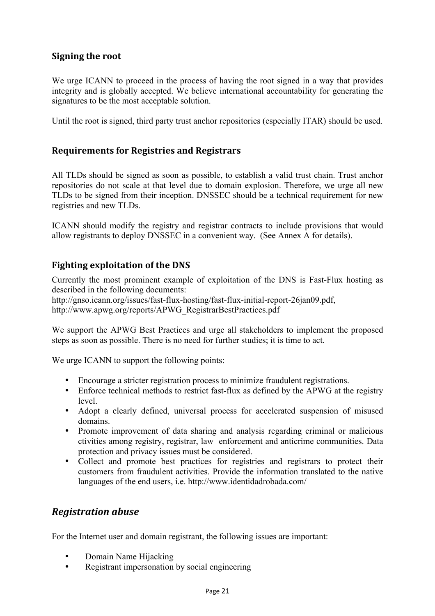## **Signing the root**

We urge ICANN to proceed in the process of having the root signed in a way that provides integrity and is globally accepted. We believe international accountability for generating the signatures to be the most acceptable solution.

Until the root is signed, third party trust anchor repositories (especially ITAR) should be used.

### **Requirements for Registries and Registrars**

All TLDs should be signed as soon as possible, to establish a valid trust chain. Trust anchor repositories do not scale at that level due to domain explosion. Therefore, we urge all new TLDs to be signed from their inception. DNSSEC should be a technical requirement for new registries and new TLDs.

ICANN should modify the registry and registrar contracts to include provisions that would allow registrants to deploy DNSSEC in a convenient way. (See Annex A for details).

## **Fighting exploitation of the DNS**

Currently the most prominent example of exploitation of the DNS is Fast-Flux hosting as described in the following documents:

http://gnso.icann.org/issues/fast-flux-hosting/fast-flux-initial-report-26jan09.pdf, http://www.apwg.org/reports/APWG\_RegistrarBestPractices.pdf

We support the APWG Best Practices and urge all stakeholders to implement the proposed steps as soon as possible. There is no need for further studies; it is time to act.

We urge ICANN to support the following points:

- Encourage a stricter registration process to minimize fraudulent registrations.
- Enforce technical methods to restrict fast-flux as defined by the APWG at the registry level.
- Adopt a clearly defined, universal process for accelerated suspension of misused domains.
- Promote improvement of data sharing and analysis regarding criminal or malicious ctivities among registry, registrar, law enforcement and anticrime communities. Data protection and privacy issues must be considered.
- Collect and promote best practices for registries and registrars to protect their customers from fraudulent activities. Provide the information translated to the native languages of the end users, i.e. http://www.identidadrobada.com/

### *Registration abuse*

For the Internet user and domain registrant, the following issues are important:

- Domain Name Hijacking
- Registrant impersonation by social engineering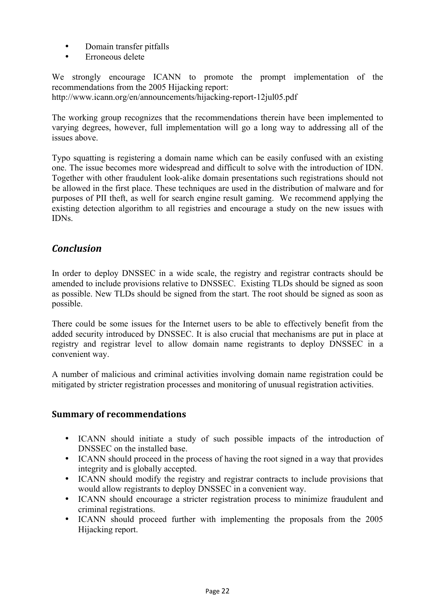- Domain transfer pitfalls
- Erroneous delete

We strongly encourage ICANN to promote the prompt implementation of the recommendations from the 2005 Hijacking report:

http://www.icann.org/en/announcements/hijacking-report-12jul05.pdf

The working group recognizes that the recommendations therein have been implemented to varying degrees, however, full implementation will go a long way to addressing all of the issues above.

Typo squatting is registering a domain name which can be easily confused with an existing one. The issue becomes more widespread and difficult to solve with the introduction of IDN. Together with other fraudulent look-alike domain presentations such registrations should not be allowed in the first place. These techniques are used in the distribution of malware and for purposes of PII theft, as well for search engine result gaming. We recommend applying the existing detection algorithm to all registries and encourage a study on the new issues with IDNs.

## *Conclusion*

In order to deploy DNSSEC in a wide scale, the registry and registrar contracts should be amended to include provisions relative to DNSSEC. Existing TLDs should be signed as soon as possible. New TLDs should be signed from the start. The root should be signed as soon as possible.

There could be some issues for the Internet users to be able to effectively benefit from the added security introduced by DNSSEC. It is also crucial that mechanisms are put in place at registry and registrar level to allow domain name registrants to deploy DNSSEC in a convenient way.

A number of malicious and criminal activities involving domain name registration could be mitigated by stricter registration processes and monitoring of unusual registration activities.

### **Summary of recommendations**

- ICANN should initiate a study of such possible impacts of the introduction of DNSSEC on the installed base.
- ICANN should proceed in the process of having the root signed in a way that provides integrity and is globally accepted.
- ICANN should modify the registry and registrar contracts to include provisions that would allow registrants to deploy DNSSEC in a convenient way.
- ICANN should encourage a stricter registration process to minimize fraudulent and criminal registrations.
- ICANN should proceed further with implementing the proposals from the 2005 Hijacking report.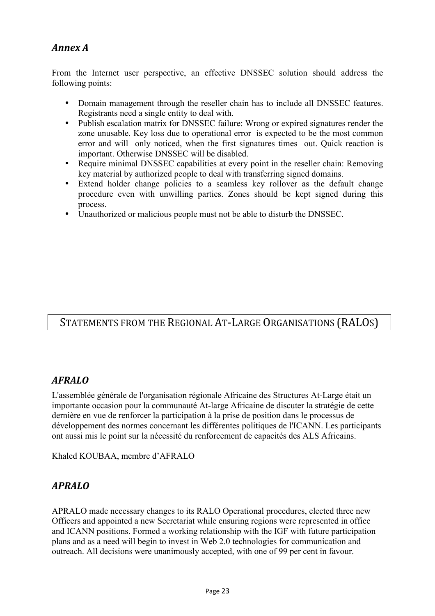# *Annex A*

From the Internet user perspective, an effective DNSSEC solution should address the following points:

- Domain management through the reseller chain has to include all DNSSEC features. Registrants need a single entity to deal with.
- Publish escalation matrix for DNSSEC failure: Wrong or expired signatures render the zone unusable. Key loss due to operational error is expected to be the most common error and will only noticed, when the first signatures times out. Quick reaction is important. Otherwise DNSSEC will be disabled.
- Require minimal DNSSEC capabilities at every point in the reseller chain: Removing key material by authorized people to deal with transferring signed domains.
- Extend holder change policies to a seamless key rollover as the default change procedure even with unwilling parties. Zones should be kept signed during this process.
- Unauthorized or malicious people must not be able to disturb the DNSSEC.

# STATEMENTS FROM THE REGIONAL AT‐LARGE ORGANISATIONS (RALOS)

## *AFRALO*

L'assemblée générale de l'organisation régionale Africaine des Structures At-Large était un importante occasion pour la communauté At-large Africaine de discuter la stratégie de cette dernière en vue de renforcer la participation à la prise de position dans le processus de développement des normes concernant les différentes politiques de l'ICANN. Les participants ont aussi mis le point sur la nécessité du renforcement de capacités des ALS Africains.

Khaled KOUBAA, membre d'AFRALO

## *APRALO*

APRALO made necessary changes to its RALO Operational procedures, elected three new Officers and appointed a new Secretariat while ensuring regions were represented in office and ICANN positions. Formed a working relationship with the IGF with future participation plans and as a need will begin to invest in Web 2.0 technologies for communication and outreach. All decisions were unanimously accepted, with one of 99 per cent in favour.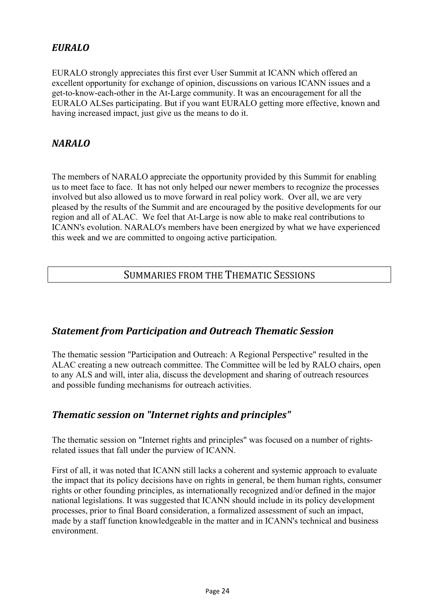# *EURALO*

EURALO strongly appreciates this first ever User Summit at ICANN which offered an excellent opportunity for exchange of opinion, discussions on various ICANN issues and a get-to-know-each-other in the At-Large community. It was an encouragement for all the EURALO ALSes participating. But if you want EURALO getting more effective, known and having increased impact, just give us the means to do it.

# *NARALO*

The members of NARALO appreciate the opportunity provided by this Summit for enabling us to meet face to face. It has not only helped our newer members to recognize the processes involved but also allowed us to move forward in real policy work. Over all, we are very pleased by the results of the Summit and are encouraged by the positive developments for our region and all of ALAC. We feel that At-Large is now able to make real contributions to ICANN's evolution. NARALO's members have been energized by what we have experienced this week and we are committed to ongoing active participation.

## SUMMARIES FROM THE THEMATIC SESSIONS

## *Statement from Participation and Outreach Thematic Session*

The thematic session "Participation and Outreach: A Regional Perspective" resulted in the ALAC creating a new outreach committee. The Committee will be led by RALO chairs, open to any ALS and will, inter alia, discuss the development and sharing of outreach resources and possible funding mechanisms for outreach activities.

# *Thematic session on "Internet rights and principles"*

The thematic session on "Internet rights and principles" was focused on a number of rightsrelated issues that fall under the purview of ICANN.

First of all, it was noted that ICANN still lacks a coherent and systemic approach to evaluate the impact that its policy decisions have on rights in general, be them human rights, consumer rights or other founding principles, as internationally recognized and/or defined in the major national legislations. It was suggested that ICANN should include in its policy development processes, prior to final Board consideration, a formalized assessment of such an impact, made by a staff function knowledgeable in the matter and in ICANN's technical and business environment.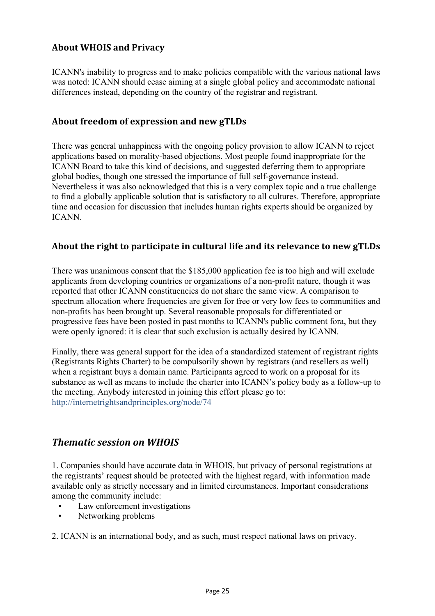## **About WHOIS and Privacy**

ICANN's inability to progress and to make policies compatible with the various national laws was noted: ICANN should cease aiming at a single global policy and accommodate national differences instead, depending on the country of the registrar and registrant.

## **About freedom of expression and new gTLDs**

There was general unhappiness with the ongoing policy provision to allow ICANN to reject applications based on morality-based objections. Most people found inappropriate for the ICANN Board to take this kind of decisions, and suggested deferring them to appropriate global bodies, though one stressed the importance of full self-governance instead. Nevertheless it was also acknowledged that this is a very complex topic and a true challenge to find a globally applicable solution that is satisfactory to all cultures. Therefore, appropriate time and occasion for discussion that includes human rights experts should be organized by ICANN.

## **About the right to participate in cultural life and its relevance to new gTLDs**

There was unanimous consent that the \$185,000 application fee is too high and will exclude applicants from developing countries or organizations of a non-profit nature, though it was reported that other ICANN constituencies do not share the same view. A comparison to spectrum allocation where frequencies are given for free or very low fees to communities and non-profits has been brought up. Several reasonable proposals for differentiated or progressive fees have been posted in past months to ICANN's public comment fora, but they were openly ignored: it is clear that such exclusion is actually desired by ICANN.

Finally, there was general support for the idea of a standardized statement of registrant rights (Registrants Rights Charter) to be compulsorily shown by registrars (and resellers as well) when a registrant buys a domain name. Participants agreed to work on a proposal for its substance as well as means to include the charter into ICANN's policy body as a follow-up to the meeting. Anybody interested in joining this effort please go to: http://internetrightsandprinciples.org/node/74

## *Thematic session on WHOIS*

1. Companies should have accurate data in WHOIS, but privacy of personal registrations at the registrants' request should be protected with the highest regard, with information made available only as strictly necessary and in limited circumstances. Important considerations among the community include:

- Law enforcement investigations
- Networking problems

2. ICANN is an international body, and as such, must respect national laws on privacy.